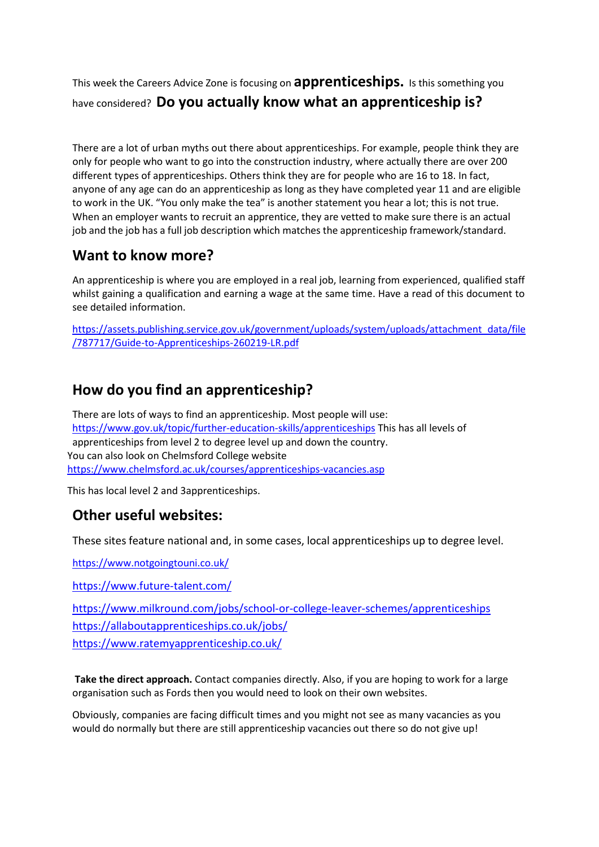This week the Careers Advice Zone is focusing on **apprenticeships.** Is this something you have considered? **Do you actually know what an apprenticeship is?**

There are a lot of urban myths out there about apprenticeships. For example, people think they are only for people who want to go into the construction industry, where actually there are over 200 different types of apprenticeships. Others think they are for people who are 16 to 18. In fact, anyone of any age can do an apprenticeship as long as they have completed year 11 and are eligible to work in the UK. "You only make the tea" is another statement you hear a lot; this is not true. When an employer wants to recruit an apprentice, they are vetted to make sure there is an actual job and the job has a full job description which matches the apprenticeship framework/standard.

## **Want to know more?**

An apprenticeship is where you are employed in a real job, learning from experienced, qualified staff whilst gaining a qualification and earning a wage at the same time. Have a read of this document to see detailed information.

[https://assets.publishing.service.gov.uk/government/uploads/system/uploads/attachment\\_data/file](https://assets.publishing.service.gov.uk/government/uploads/system/uploads/attachment_data/file/787717/Guide-to-Apprenticeships-260219-LR.pdf) [/787717/Guide-to-Apprenticeships-260219-LR.pdf](https://assets.publishing.service.gov.uk/government/uploads/system/uploads/attachment_data/file/787717/Guide-to-Apprenticeships-260219-LR.pdf)

# **How do you find an apprenticeship?**

There are lots of ways to find an apprenticeship. Most people will use: <https://www.gov.uk/topic/further-education-skills/apprenticeships> This has all levels of apprenticeships from level 2 to degree level up and down the country. You can also look on Chelmsford College website <https://www.chelmsford.ac.uk/courses/apprenticeships-vacancies.asp>

This has local level 2 and 3apprenticeships.

## **Other useful websites:**

These sites feature national and, in some cases, local apprenticeships up to degree level.

<https://www.notgoingtouni.co.uk/>

<https://www.future-talent.com/>

<https://www.milkround.com/jobs/school-or-college-leaver-schemes/apprenticeships> <https://allaboutapprenticeships.co.uk/jobs/> <https://www.ratemyapprenticeship.co.uk/>

**Take the direct approach.** Contact companies directly. Also, if you are hoping to work for a large organisation such as Fords then you would need to look on their own websites.

Obviously, companies are facing difficult times and you might not see as many vacancies as you would do normally but there are still apprenticeship vacancies out there so do not give up!